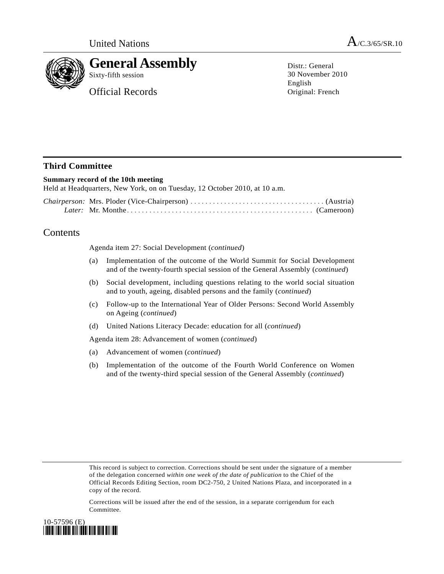



## **General Assembly**

Sixty-fifth session

Official Records

Distr.: General 30 November 2010 English Original: French

## **Third Committee**

## **Summary record of the 10th meeting**

Held at Headquarters, New York, on on Tuesday, 12 October 2010, at 10 a.m.

## **Contents**

Agenda item 27: Social Development (*continued*)

- (a) Implementation of the outcome of the World Summit for Social Development and of the twenty-fourth special session of the General Assembly (*continued*)
- (b) Social development, including questions relating to the world social situation and to youth, ageing, disabled persons and the family (*continued*)
- (c) Follow-up to the International Year of Older Persons: Second World Assembly on Ageing (*continued*)
- (d) United Nations Literacy Decade: education for all (*continued*)

Agenda item 28: Advancement of women (*continued*)

- (a) Advancement of women (*continued*)
- (b) Implementation of the outcome of the Fourth World Conference on Women and of the twenty-third special session of the General Assembly (*continued*)

This record is subject to correction. Corrections should be sent under the signature of a member of the delegation concerned *within one week of the date of publication* to the Chief of the Official Records Editing Section, room DC2-750, 2 United Nations Plaza, and incorporated in a copy of the record.

Corrections will be issued after the end of the session, in a separate corrigendum for each Committee.

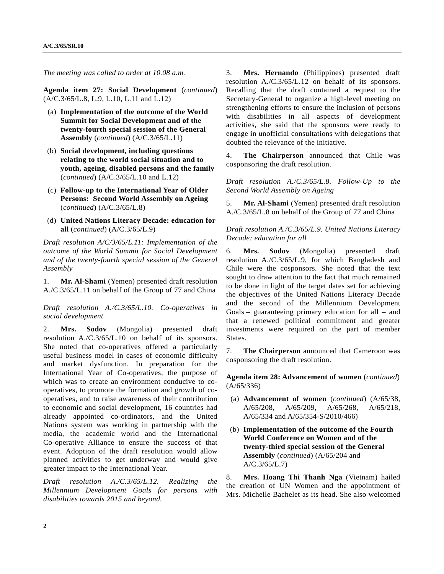*The meeting was called to order at 10.08 a.m.* 

**Agenda item 27: Social Development** (*continued*) (A/C.3/65/L.8, L.9, L.10, L.11 and L.12)

- (a) **Implementation of the outcome of the World Summit for Social Development and of the twenty-fourth special session of the General Assembly** (*continued*) (A/C.3/65/L.11)
- (b) **Social development, including questions relating to the world social situation and to youth, ageing, disabled persons and the family** (*continued*) (A/C.3/65/L.10 and L.12)
- (c) **Follow-up to the International Year of Older Persons: Second World Assembly on Ageing**  (*continued*) (A/C.3/65/L.8)
- (d) **United Nations Literacy Decade: education for all** (*continued*) (A/C.3/65/L.9)

*Draft resolution A/C/3/65/L.11: Implementation of the outcome of the World Summit for Social Development and of the twenty-fourth special session of the General Assembly* 

1. **Mr. Al-Shami** (Yemen) presented draft resolution A./C.3/65/L.11 on behalf of the Group of 77 and China

*Draft resolution A./C.3/65/L.10. Co-operatives in social development* 

2. **Mrs. Sodov** (Mongolia) presented draft resolution A./C.3/65/L.10 on behalf of its sponsors. She noted that co-operatives offered a particularly useful business model in cases of economic difficulty and market dysfunction. In preparation for the International Year of Co-operatives, the purpose of which was to create an environment conducive to cooperatives, to promote the formation and growth of cooperatives, and to raise awareness of their contribution to economic and social development, 16 countries had already appointed co-ordinators, and the United Nations system was working in partnership with the media, the academic world and the International Co-operative Alliance to ensure the success of that event. Adoption of the draft resolution would allow planned activities to get underway and would give greater impact to the International Year.

*Draft resolution A./C.3/65/L.12. Realizing the Millennium Development Goals for persons with disabilities towards 2015 and beyond.* 

3. **Mrs. Hernando** (Philippines) presented draft resolution A./C.3/65/L.12 on behalf of its sponsors. Recalling that the draft contained a request to the Secretary-General to organize a high-level meeting on strengthening efforts to ensure the inclusion of persons with disabilities in all aspects of development activities, she said that the sponsors were ready to engage in unofficial consultations with delegations that doubted the relevance of the initiative.

4. **The Chairperson** announced that Chile was cosponsoring the draft resolution.

*Draft resolution A./C.3/65/L.8. Follow-Up to the Second World Assembly on Ageing* 

5. **Mr. Al-Shami** (Yemen) presented draft resolution A./C.3/65/L.8 on behalf of the Group of 77 and China

*Draft resolution A./C.3/65/L.9. United Nations Literacy Decade: education for all* 

6. **Mrs. Sodov** (Mongolia) presented draft resolution A./C.3/65/L.9, for which Bangladesh and Chile were the cosponsors. She noted that the text sought to draw attention to the fact that much remained to be done in light of the target dates set for achieving the objectives of the United Nations Literacy Decade and the second of the Millennium Development Goals – guaranteeing primary education for all – and that a renewed political commitment and greater investments were required on the part of member States.

7. **The Chairperson** announced that Cameroon was cosponsoring the draft resolution.

**Agenda item 28: Advancement of women** (*continued*) (A/65/336)

- (a) **Advancement of women** (*continued*) (A/65/38, A/65/208, A/65/209, A/65/268, A/65/218, A/65/334 and A/65/354-S/2010/466)
- (b) **Implementation of the outcome of the Fourth World Conference on Women and of the twenty-third special session of the General Assembly** (*continued*) (A/65/204 and A/C.3/65/L.7)

8. **Mrs. Hoang Thi Thanh Nga** (Vietnam) hailed the creation of UN Women and the appointment of Mrs. Michelle Bachelet as its head. She also welcomed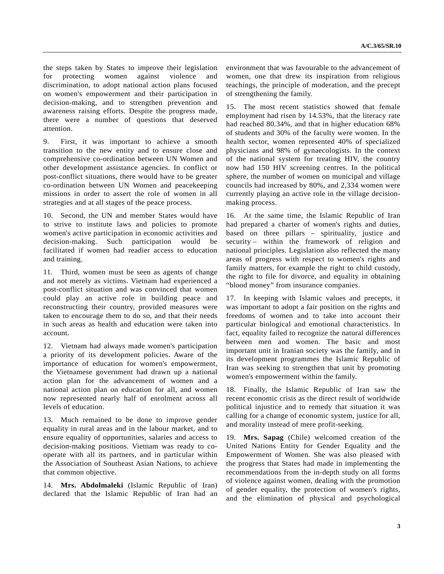the steps taken by States to improve their legislation for protecting women against violence and discrimination, to adopt national action plans focused on women's empowerment and their participation in decision-making, and to strengthen prevention and awareness raising efforts. Despite the progress made, there were a number of questions that deserved attention.

9. First, it was important to achieve a smooth transition to the new entity and to ensure close and comprehensive co-ordination between UN Women and other development assistance agencies. In conflict or post-conflict situations, there would have to be greater co-ordination between UN Women and peacekeeping missions in order to assert the role of women in all strategies and at all stages of the peace process.

10. Second, the UN and member States would have to strive to institute laws and policies to promote women's active participation in economic activities and decision-making. Such participation would be facilitated if women had readier access to education and training.

11. Third, women must be seen as agents of change and not merely as victims. Vietnam had experienced a post-conflict situation and was convinced that women could play an active role in building peace and reconstructing their country, provided measures were taken to encourage them to do so, and that their needs in such areas as health and education were taken into account.

12. Vietnam had always made women's participation a priority of its development policies. Aware of the importance of education for women's empowerment, the Vietnamese government had drawn up a national action plan for the advancement of women and a national action plan on education for all, and women now represented nearly half of enrolment across all levels of education.

13. Much remained to be done to improve gender equality in rural areas and in the labour market, and to ensure equality of opportunities, salaries and access to decision-making positions. Vietnam was ready to cooperate with all its partners, and in particular within the Association of Southeast Asian Nations, to achieve that common objective.

14. **Mrs. Abdolmaleki** (Islamic Republic of Iran) declared that the Islamic Republic of Iran had an environment that was favourable to the advancement of women, one that drew its inspiration from religious teachings, the principle of moderation, and the precept of strengthening the family.

15. The most recent statistics showed that female employment had risen by 14.53%, that the literacy rate had reached 80.34%, and that in higher education 68% of students and 30% of the faculty were women. In the health sector, women represented 40% of specialized physicians and 98% of gynaecologists. In the context of the national system for treating HIV, the country now had 150 HIV screening centres. In the political sphere, the number of women on municipal and village councils had increased by 80%, and 2,334 women were currently playing an active role in the village decisionmaking process.

16. At the same time, the Islamic Republic of Iran had prepared a charter of women's rights and duties, based on three pillars – spirituality, justice and security – within the framework of religion and national principles. Legislation also reflected the many areas of progress with respect to women's rights and family matters, for example the right to child custody, the right to file for divorce, and equality in obtaining "blood money" from insurance companies.

17. In keeping with Islamic values and precepts, it was important to adopt a fair position on the rights and freedoms of women and to take into account their particular biological and emotional characteristics. In fact, equality failed to recognize the natural differences between men and women. The basic and most important unit in Iranian society was the family, and in its development programmes the Islamic Republic of Iran was seeking to strengthen that unit by promoting women's empowerment within the family.

18. Finally, the Islamic Republic of Iran saw the recent economic crisis as the direct result of worldwide political injustice and to remedy that situation it was calling for a change of economic system, justice for all, and morality instead of mere profit-seeking.

19. **Mrs. Sapag** (Chile) welcomed creation of the United Nations Entity for Gender Equality and the Empowerment of Women. She was also pleased with the progress that States had made in implementing the recommendations from the in-depth study on all forms of violence against women, dealing with the promotion of gender equality, the protection of women's rights, and the elimination of physical and psychological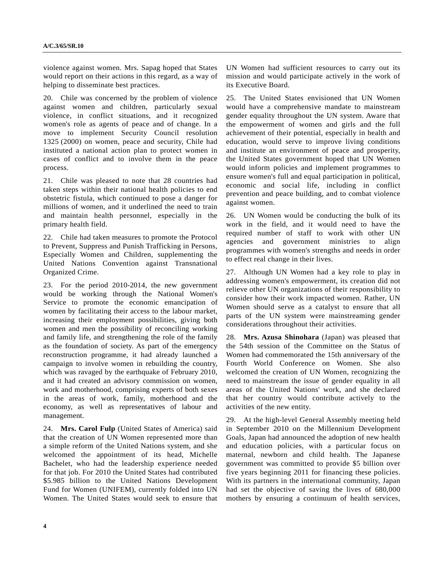violence against women. Mrs. Sapag hoped that States would report on their actions in this regard, as a way of helping to disseminate best practices.

20. Chile was concerned by the problem of violence against women and children, particularly sexual violence, in conflict situations, and it recognized women's role as agents of peace and of change. In a move to implement Security Council resolution 1325 (2000) on women, peace and security, Chile had instituted a national action plan to protect women in cases of conflict and to involve them in the peace process.

21. Chile was pleased to note that 28 countries had taken steps within their national health policies to end obstetric fistula, which continued to pose a danger for millions of women, and it underlined the need to train and maintain health personnel, especially in the primary health field.

22. Chile had taken measures to promote the Protocol to Prevent, Suppress and Punish Trafficking in Persons, Especially Women and Children, supplementing the United Nations Convention against Transnational Organized Crime.

23. For the period 2010-2014, the new government would be working through the National Women's Service to promote the economic emancipation of women by facilitating their access to the labour market, increasing their employment possibilities, giving both women and men the possibility of reconciling working and family life, and strengthening the role of the family as the foundation of society. As part of the emergency reconstruction programme, it had already launched a campaign to involve women in rebuilding the country, which was ravaged by the earthquake of February 2010, and it had created an advisory commission on women, work and motherhood, comprising experts of both sexes in the areas of work, family, motherhood and the economy, as well as representatives of labour and management.

24. **Mrs. Carol Fulp** (United States of America) said that the creation of UN Women represented more than a simple reform of the United Nations system, and she welcomed the appointment of its head, Michelle Bachelet, who had the leadership experience needed for that job. For 2010 the United States had contributed \$5.985 billion to the United Nations Development Fund for Women (UNIFEM), currently folded into UN Women. The United States would seek to ensure that UN Women had sufficient resources to carry out its mission and would participate actively in the work of its Executive Board.

25. The United States envisioned that UN Women would have a comprehensive mandate to mainstream gender equality throughout the UN system. Aware that the empowerment of women and girls and the full achievement of their potential, especially in health and education, would serve to improve living conditions and institute an environment of peace and prosperity, the United States government hoped that UN Women would inform policies and implement programmes to ensure women's full and equal participation in political, economic and social life, including in conflict prevention and peace building, and to combat violence against women.

26. UN Women would be conducting the bulk of its work in the field, and it would need to have the required number of staff to work with other UN agencies and government ministries to align programmes with women's strengths and needs in order to effect real change in their lives.

27. Although UN Women had a key role to play in addressing women's empowerment, its creation did not relieve other UN organizations of their responsibility to consider how their work impacted women. Rather, UN Women should serve as a catalyst to ensure that all parts of the UN system were mainstreaming gender considerations throughout their activities.

28. **Mrs. Azusa Shinohara** (Japan) was pleased that the 54th session of the Committee on the Status of Women had commemorated the 15th anniversary of the Fourth World Conference on Women. She also welcomed the creation of UN Women, recognizing the need to mainstream the issue of gender equality in all areas of the United Nations' work, and she declared that her country would contribute actively to the activities of the new entity.

29. At the high-level General Assembly meeting held in September 2010 on the Millennium Development Goals, Japan had announced the adoption of new health and education policies, with a particular focus on maternal, newborn and child health. The Japanese government was committed to provide \$5 billion over five years beginning 2011 for financing these policies. With its partners in the international community, Japan had set the objective of saving the lives of 680,000 mothers by ensuring a continuum of health services,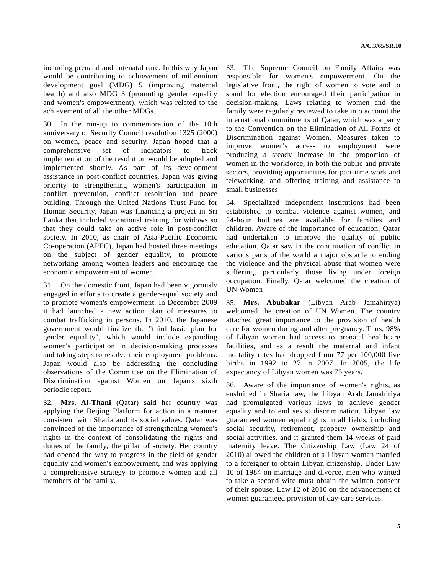including prenatal and antenatal care. In this way Japan would be contributing to achievement of millennium development goal (MDG) 5 (improving maternal health) and also MDG 3 (promoting gender equality and women's empowerment), which was related to the achievement of all the other MDGs.

30. In the run-up to commemoration of the 10th anniversary of Security Council resolution 1325 (2000) on women, peace and security, Japan hoped that a comprehensive set of indicators to track implementation of the resolution would be adopted and implemented shortly. As part of its development assistance in post-conflict countries, Japan was giving priority to strengthening women's participation in conflict prevention, conflict resolution and peace building. Through the United Nations Trust Fund for Human Security, Japan was financing a project in Sri Lanka that included vocational training for widows so that they could take an active role in post-conflict society. In 2010, as chair of Asia-Pacific Economic Co-operation (APEC), Japan had hosted three meetings on the subject of gender equality, to promote networking among women leaders and encourage the economic empowerment of women.

31. On the domestic front, Japan had been vigorously engaged in efforts to create a gender-equal society and to promote women's empowerment. In December 2009 it had launched a new action plan of measures to combat trafficking in persons. In 2010, the Japanese government would finalize the "third basic plan for gender equality", which would include expanding women's participation in decision-making processes and taking steps to resolve their employment problems. Japan would also be addressing the concluding observations of the Committee on the Elimination of Discrimination against Women on Japan's sixth periodic report.

32. **Mrs. Al-Thani** (Qatar) said her country was applying the Beijing Platform for action in a manner consistent with Sharia and its social values. Qatar was convinced of the importance of strengthening women's rights in the context of consolidating the rights and duties of the family, the pillar of society. Her country had opened the way to progress in the field of gender equality and women's empowerment, and was applying a comprehensive strategy to promote women and all members of the family.

33. The Supreme Council on Family Affairs was responsible for women's empowerment. On the legislative front, the right of women to vote and to stand for election encouraged their participation in decision-making. Laws relating to women and the family were regularly reviewed to take into account the international commitments of Qatar, which was a party to the Convention on the Elimination of All Forms of Discrimination against Women. Measures taken to improve women's access to employment were producing a steady increase in the proportion of women in the workforce, in both the public and private sectors, providing opportunities for part-time work and teleworking, and offering training and assistance to small businesses

34. Specialized independent institutions had been established to combat violence against women, and 24-hour hotlines are available for families and children. Aware of the importance of education, Qatar had undertaken to improve the quality of public education. Qatar saw in the continuation of conflict in various parts of the world a major obstacle to ending the violence and the physical abuse that women were suffering, particularly those living under foreign occupation. Finally, Qatar welcomed the creation of UN Women

35. **Mrs. Abubakar** (Libyan Arab Jamahiriya) welcomed the creation of UN Women. The country attached great importance to the provision of health care for women during and after pregnancy. Thus, 98% of Libyan women had access to prenatal healthcare facilities, and as a result the maternal and infant mortality rates had dropped from 77 per 100,000 live births in 1992 to 27 in 2007. In 2005, the life expectancy of Libyan women was 75 years.

36. Aware of the importance of women's rights, as enshrined in Sharia law, the Libyan Arab Jamahiriya had promulgated various laws to achieve gender equality and to end sexist discrimination. Libyan law guaranteed women equal rights in all fields, including social security, retirement, property ownership and social activities, and it granted them 14 weeks of paid maternity leave. The Citizenship Law (Law 24 of 2010) allowed the children of a Libyan woman married to a foreigner to obtain Libyan citizenship. Under Law 10 of 1984 on marriage and divorce, men who wanted to take a second wife must obtain the written consent of their spouse. Law 12 of 2010 on the advancement of women guaranteed provision of day-care services.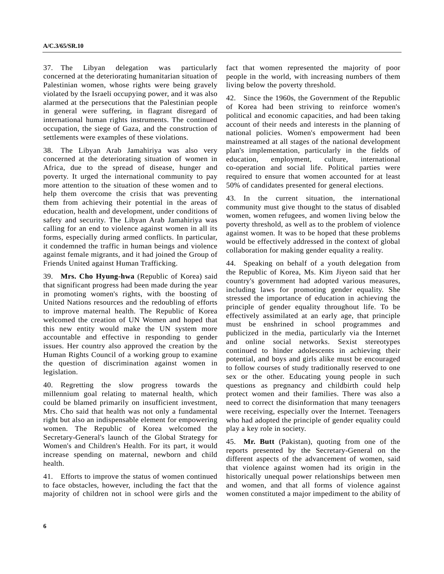37. The Libyan delegation was particularly concerned at the deteriorating humanitarian situation of Palestinian women, whose rights were being gravely violated by the Israeli occupying power, and it was also alarmed at the persecutions that the Palestinian people in general were suffering, in flagrant disregard of international human rights instruments. The continued occupation, the siege of Gaza, and the construction of settlements were examples of these violations.

38. The Libyan Arab Jamahiriya was also very concerned at the deteriorating situation of women in Africa, due to the spread of disease, hunger and poverty. It urged the international community to pay more attention to the situation of these women and to help them overcome the crisis that was preventing them from achieving their potential in the areas of education, health and development, under conditions of safety and security. The Libyan Arab Jamahiriya was calling for an end to violence against women in all its forms, especially during armed conflicts. In particular, it condemned the traffic in human beings and violence against female migrants, and it had joined the Group of Friends United against Human Trafficking.

39. **Mrs. Cho Hyung-hwa** (Republic of Korea) said that significant progress had been made during the year in promoting women's rights, with the boosting of United Nations resources and the redoubling of efforts to improve maternal health. The Republic of Korea welcomed the creation of UN Women and hoped that this new entity would make the UN system more accountable and effective in responding to gender issues. Her country also approved the creation by the Human Rights Council of a working group to examine the question of discrimination against women in legislation.

40. Regretting the slow progress towards the millennium goal relating to maternal health, which could be blamed primarily on insufficient investment, Mrs. Cho said that health was not only a fundamental right but also an indispensable element for empowering women. The Republic of Korea welcomed the Secretary-General's launch of the Global Strategy for Women's and Children's Health. For its part, it would increase spending on maternal, newborn and child health.

41. Efforts to improve the status of women continued to face obstacles, however, including the fact that the majority of children not in school were girls and the

fact that women represented the majority of poor people in the world, with increasing numbers of them living below the poverty threshold.

42. Since the 1960s, the Government of the Republic of Korea had been striving to reinforce women's political and economic capacities, and had been taking account of their needs and interests in the planning of national policies. Women's empowerment had been mainstreamed at all stages of the national development plan's implementation, particularly in the fields of education, employment, culture, international co-operation and social life. Political parties were required to ensure that women accounted for at least 50% of candidates presented for general elections.

43. In the current situation, the international community must give thought to the status of disabled women, women refugees, and women living below the poverty threshold, as well as to the problem of violence against women. It was to be hoped that these problems would be effectively addressed in the context of global collaboration for making gender equality a reality.

44. Speaking on behalf of a youth delegation from the Republic of Korea, Ms. Kim Jiyeon said that her country's government had adopted various measures, including laws for promoting gender equality. She stressed the importance of education in achieving the principle of gender equality throughout life. To be effectively assimilated at an early age, that principle must be enshrined in school programmes and publicized in the media, particularly via the Internet and online social networks. Sexist stereotypes continued to hinder adolescents in achieving their potential, and boys and girls alike must be encouraged to follow courses of study traditionally reserved to one sex or the other. Educating young people in such questions as pregnancy and childbirth could help protect women and their families. There was also a need to correct the disinformation that many teenagers were receiving, especially over the Internet. Teenagers who had adopted the principle of gender equality could play a key role in society.

45. **Mr. Butt** (Pakistan), quoting from one of the reports presented by the Secretary-General on the different aspects of the advancement of women, said that violence against women had its origin in the historically unequal power relationships between men and women, and that all forms of violence against women constituted a major impediment to the ability of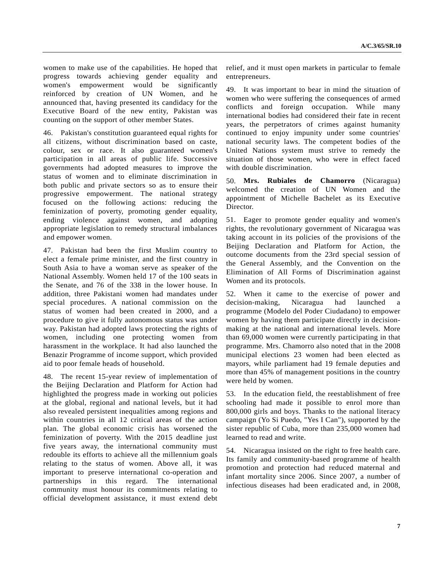women to make use of the capabilities. He hoped that progress towards achieving gender equality and women's empowerment would be significantly reinforced by creation of UN Women, and he announced that, having presented its candidacy for the Executive Board of the new entity, Pakistan was counting on the support of other member States.

46. Pakistan's constitution guaranteed equal rights for all citizens, without discrimination based on caste, colour, sex or race. It also guaranteed women's participation in all areas of public life. Successive governments had adopted measures to improve the status of women and to eliminate discrimination in both public and private sectors so as to ensure their progressive empowerment. The national strategy focused on the following actions: reducing the feminization of poverty, promoting gender equality, ending violence against women, and adopting appropriate legislation to remedy structural imbalances and empower women.

47. Pakistan had been the first Muslim country to elect a female prime minister, and the first country in South Asia to have a woman serve as speaker of the National Assembly. Women held 17 of the 100 seats in the Senate, and 76 of the 338 in the lower house. In addition, three Pakistani women had mandates under special procedures. A national commission on the status of women had been created in 2000, and a procedure to give it fully autonomous status was under way. Pakistan had adopted laws protecting the rights of women, including one protecting women from harassment in the workplace. It had also launched the Benazir Programme of income support, which provided aid to poor female heads of household.

48. The recent 15-year review of implementation of the Beijing Declaration and Platform for Action had highlighted the progress made in working out policies at the global, regional and national levels, but it had also revealed persistent inequalities among regions and within countries in all 12 critical areas of the action plan. The global economic crisis has worsened the feminization of poverty. With the 2015 deadline just five years away, the international community must redouble its efforts to achieve all the millennium goals relating to the status of women. Above all, it was important to preserve international co-operation and partnerships in this regard. The international community must honour its commitments relating to official development assistance, it must extend debt

relief, and it must open markets in particular to female entrepreneurs.

49. It was important to bear in mind the situation of women who were suffering the consequences of armed conflicts and foreign occupation. While many international bodies had considered their fate in recent years, the perpetrators of crimes against humanity continued to enjoy impunity under some countries' national security laws. The competent bodies of the United Nations system must strive to remedy the situation of those women, who were in effect faced with double discrimination.

50. **Mrs. Rubiales de Chamorro** (Nicaragua) welcomed the creation of UN Women and the appointment of Michelle Bachelet as its Executive Director.

51. Eager to promote gender equality and women's rights, the revolutionary government of Nicaragua was taking account in its policies of the provisions of the Beijing Declaration and Platform for Action, the outcome documents from the 23rd special session of the General Assembly, and the Convention on the Elimination of All Forms of Discrimination against Women and its protocols.

52. When it came to the exercise of power and decision-making, Nicaragua had launched a programme (Modelo del Poder Ciudadano) to empower women by having them participate directly in decisionmaking at the national and international levels. More than 69,000 women were currently participating in that programme. Mrs. Chamorro also noted that in the 2008 municipal elections 23 women had been elected as mayors, while parliament had 19 female deputies and more than 45% of management positions in the country were held by women.

53. In the education field, the reestablishment of free schooling had made it possible to enrol more than 800,000 girls and boys. Thanks to the national literacy campaign (Yo Si Puedo, "Yes I Can"), supported by the sister republic of Cuba, more than 235,000 women had learned to read and write.

54. Nicaragua insisted on the right to free health care. Its family and community-based programme of health promotion and protection had reduced maternal and infant mortality since 2006. Since 2007, a number of infectious diseases had been eradicated and, in 2008,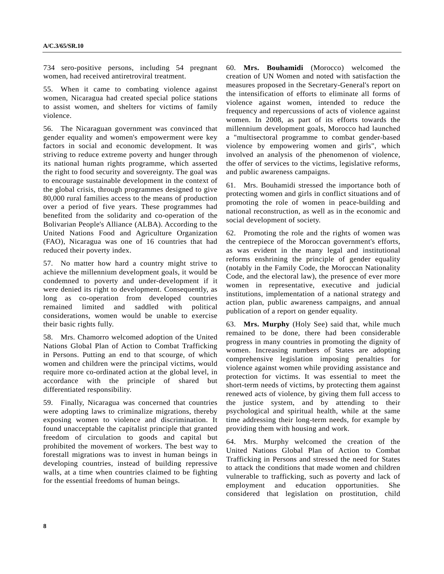734 sero-positive persons, including 54 pregnant women, had received antiretroviral treatment.

55. When it came to combating violence against women, Nicaragua had created special police stations to assist women, and shelters for victims of family violence.

56. The Nicaraguan government was convinced that gender equality and women's empowerment were key factors in social and economic development. It was striving to reduce extreme poverty and hunger through its national human rights programme, which asserted the right to food security and sovereignty. The goal was to encourage sustainable development in the context of the global crisis, through programmes designed to give 80,000 rural families access to the means of production over a period of five years. These programmes had benefited from the solidarity and co-operation of the Bolivarian People's Alliance (ALBA). According to the United Nations Food and Agriculture Organization (FAO), Nicaragua was one of 16 countries that had reduced their poverty index.

57. No matter how hard a country might strive to achieve the millennium development goals, it would be condemned to poverty and under-development if it were denied its right to development. Consequently, as long as co-operation from developed countries remained limited and saddled with political considerations, women would be unable to exercise their basic rights fully.

58. Mrs. Chamorro welcomed adoption of the United Nations Global Plan of Action to Combat Trafficking in Persons. Putting an end to that scourge, of which women and children were the principal victims, would require more co-ordinated action at the global level, in accordance with the principle of shared but differentiated responsibility.

59. Finally, Nicaragua was concerned that countries were adopting laws to criminalize migrations, thereby exposing women to violence and discrimination. It found unacceptable the capitalist principle that granted freedom of circulation to goods and capital but prohibited the movement of workers. The best way to forestall migrations was to invest in human beings in developing countries, instead of building repressive walls, at a time when countries claimed to be fighting for the essential freedoms of human beings.

60. **Mrs. Bouhamidi** (Morocco) welcomed the creation of UN Women and noted with satisfaction the measures proposed in the Secretary-General's report on the intensification of efforts to eliminate all forms of violence against women, intended to reduce the frequency and repercussions of acts of violence against women. In 2008, as part of its efforts towards the millennium development goals, Morocco had launched a "multisectoral programme to combat gender-based violence by empowering women and girls", which involved an analysis of the phenomenon of violence, the offer of services to the victims, legislative reforms, and public awareness campaigns.

61. Mrs. Bouhamidi stressed the importance both of protecting women and girls in conflict situations and of promoting the role of women in peace-building and national reconstruction, as well as in the economic and social development of society.

62. Promoting the role and the rights of women was the centrepiece of the Moroccan government's efforts, as was evident in the many legal and institutional reforms enshrining the principle of gender equality (notably in the Family Code, the Moroccan Nationality Code, and the electoral law), the presence of ever more women in representative, executive and judicial institutions, implementation of a national strategy and action plan, public awareness campaigns, and annual publication of a report on gender equality.

63. **Mrs. Murphy** (Holy See) said that, while much remained to be done, there had been considerable progress in many countries in promoting the dignity of women. Increasing numbers of States are adopting comprehensive legislation imposing penalties for violence against women while providing assistance and protection for victims. It was essential to meet the short-term needs of victims, by protecting them against renewed acts of violence, by giving them full access to the justice system, and by attending to their psychological and spiritual health, while at the same time addressing their long-term needs, for example by providing them with housing and work.

64. Mrs. Murphy welcomed the creation of the United Nations Global Plan of Action to Combat Trafficking in Persons and stressed the need for States to attack the conditions that made women and children vulnerable to trafficking, such as poverty and lack of employment and education opportunities. She considered that legislation on prostitution, child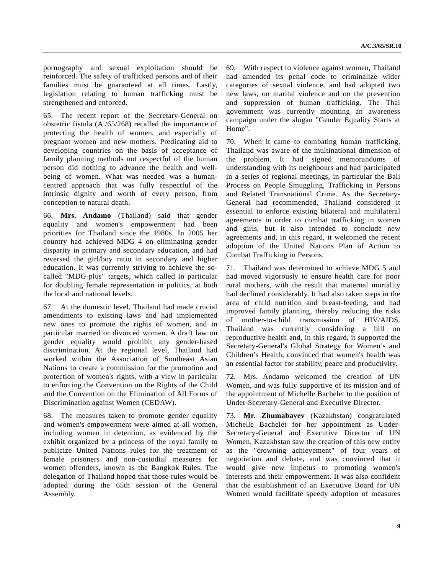pornography and sexual exploitation should be reinforced. The safety of trafficked persons and of their families must be guaranteed at all times. Lastly, legislation relating to human trafficking must be strengthened and enforced.

65. The recent report of the Secretary-General on obstetric fistula (A./65/268) recalled the importance of protecting the health of women, and especially of pregnant women and new mothers. Predicating aid to developing countries on the basis of acceptance of family planning methods not respectful of the human person did nothing to advance the health and wellbeing of women. What was needed was a humancentred approach that was fully respectful of the intrinsic dignity and worth of every person, from conception to natural death.

66. **Mrs. Andamo** (Thailand) said that gender equality and women's empowerment had been priorities for Thailand since the 1980s. In 2005 her country had achieved MDG 4 on eliminating gender disparity in primary and secondary education, and had reversed the girl/boy ratio in secondary and higher education. It was currently striving to achieve the socalled "MDG-plus" targets, which called in particular for doubling female representation in politics, at both the local and national levels.

67. At the domestic level, Thailand had made crucial amendments to existing laws and had implemented new ones to promote the rights of women, and in particular married or divorced women. A draft law on gender equality would prohibit any gender-based discrimination. At the regional level, Thailand had worked within the Association of Southeast Asian Nations to create a commission for the promotion and protection of women's rights, with a view in particular to enforcing the Convention on the Rights of the Child and the Convention on the Elimination of All Forms of Discrimination against Women (CEDAW).

68. The measures taken to promote gender equality and women's empowerment were aimed at all women, including women in detention, as evidenced by the exhibit organized by a princess of the royal family to publicize United Nations rules for the treatment of female prisoners and non-custodial measures for women offenders, known as the Bangkok Rules. The delegation of Thailand hoped that those rules would be adopted during the 65th session of the General Assembly.

69. With respect to violence against women, Thailand had amended its penal code to criminalize wider categories of sexual violence, and had adopted two new laws, on marital violence and on the prevention and suppression of human trafficking. The Thai government was currently mounting an awareness campaign under the slogan "Gender Equality Starts at Home".

70. When it came to combating human trafficking, Thailand was aware of the multinational dimension of the problem. It had signed memorandums of understanding with its neighbours and had participated in a series of regional meetings, in particular the Bali Process on People Smuggling, Trafficking in Persons and Related Transnational Crime. As the Secretary-General had recommended, Thailand considered it essential to enforce existing bilateral and multilateral agreements in order to combat trafficking in women and girls, but it also intended to conclude new agreements and, in this regard, it welcomed the recent adoption of the United Nations Plan of Action to Combat Trafficking in Persons.

71. Thailand was determined to achieve MDG 5 and had moved vigorously to ensure health care for poor rural mothers, with the result that maternal mortality had declined considerably. It had also taken steps in the area of child nutrition and breast-feeding, and had improved family planning, thereby reducing the risks of mother-to-child transmission of HIV/AIDS. Thailand was currently considering a bill on reproductive health and, in this regard, it supported the Secretary-General's Global Strategy for Women's and Children's Health, convinced that women's health was an essential factor for stability, peace and productivity.

72. Mrs. Andamo welcomed the creation of UN Women, and was fully supportive of its mission and of the appointment of Michelle Bachelet to the position of Under-Secretary-General and Executive Director.

73. **Mr. Zhumabayev** (Kazakhstan) congratulated Michelle Bachelet for her appointment as Under-Secretary-General and Executive Director of UN Women. Kazakhstan saw the creation of this new entity as the "crowning achievement" of four years of negotiation and debate, and was convinced that it would give new impetus to promoting women's interests and their empowerment. It was also confident that the establishment of an Executive Board for UN Women would facilitate speedy adoption of measures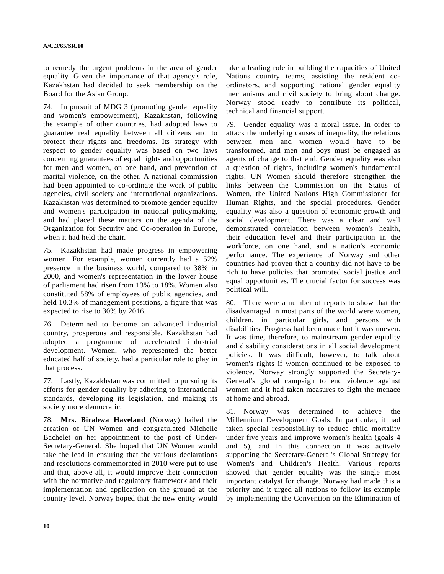to remedy the urgent problems in the area of gender equality. Given the importance of that agency's role, Kazakhstan had decided to seek membership on the Board for the Asian Group.

74. In pursuit of MDG 3 (promoting gender equality and women's empowerment), Kazakhstan, following the example of other countries, had adopted laws to guarantee real equality between all citizens and to protect their rights and freedoms. Its strategy with respect to gender equality was based on two laws concerning guarantees of equal rights and opportunities for men and women, on one hand, and prevention of marital violence, on the other. A national commission had been appointed to co-ordinate the work of public agencies, civil society and international organizations. Kazakhstan was determined to promote gender equality and women's participation in national policymaking, and had placed these matters on the agenda of the Organization for Security and Co-operation in Europe, when it had held the chair.

75. Kazakhstan had made progress in empowering women. For example, women currently had a 52% presence in the business world, compared to 38% in 2000, and women's representation in the lower house of parliament had risen from 13% to 18%. Women also constituted 58% of employees of public agencies, and held 10.3% of management positions, a figure that was expected to rise to 30% by 2016.

76. Determined to become an advanced industrial country, prosperous and responsible, Kazakhstan had adopted a programme of accelerated industrial development. Women, who represented the better educated half of society, had a particular role to play in that process.

77. Lastly, Kazakhstan was committed to pursuing its efforts for gender equality by adhering to international standards, developing its legislation, and making its society more democratic.

78. **Mrs. Birabwa Haveland** (Norway) hailed the creation of UN Women and congratulated Michelle Bachelet on her appointment to the post of Under-Secretary-General. She hoped that UN Women would take the lead in ensuring that the various declarations and resolutions commemorated in 2010 were put to use and that, above all, it would improve their connection with the normative and regulatory framework and their implementation and application on the ground at the country level. Norway hoped that the new entity would

take a leading role in building the capacities of United Nations country teams, assisting the resident coordinators, and supporting national gender equality mechanisms and civil society to bring about change. Norway stood ready to contribute its political, technical and financial support.

79. Gender equality was a moral issue. In order to attack the underlying causes of inequality, the relations between men and women would have to be transformed, and men and boys must be engaged as agents of change to that end. Gender equality was also a question of rights, including women's fundamental rights. UN Women should therefore strengthen the links between the Commission on the Status of Women, the United Nations High Commissioner for Human Rights, and the special procedures. Gender equality was also a question of economic growth and social development. There was a clear and well demonstrated correlation between women's health, their education level and their participation in the workforce, on one hand, and a nation's economic performance. The experience of Norway and other countries had proven that a country did not have to be rich to have policies that promoted social justice and equal opportunities. The crucial factor for success was political will.

80. There were a number of reports to show that the disadvantaged in most parts of the world were women, children, in particular girls, and persons with disabilities. Progress had been made but it was uneven. It was time, therefore, to mainstream gender equality and disability considerations in all social development policies. It was difficult, however, to talk about women's rights if women continued to be exposed to violence. Norway strongly supported the Secretary-General's global campaign to end violence against women and it had taken measures to fight the menace at home and abroad.

81. Norway was determined to achieve the Millennium Development Goals. In particular, it had taken special responsibility to reduce child mortality under five years and improve women's health (goals 4 and 5), and in this connection it was actively supporting the Secretary-General's Global Strategy for Women's and Children's Health. Various reports showed that gender equality was the single most important catalyst for change. Norway had made this a priority and it urged all nations to follow its example by implementing the Convention on the Elimination of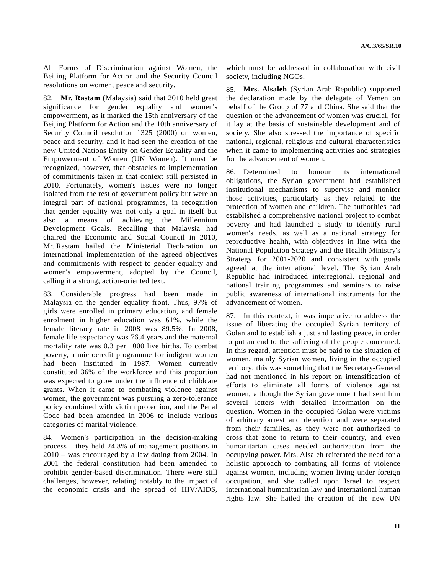All Forms of Discrimination against Women, the Beijing Platform for Action and the Security Council resolutions on women, peace and security.

82. **Mr. Rastam** (Malaysia) said that 2010 held great significance for gender equality and women's empowerment, as it marked the 15th anniversary of the Beijing Platform for Action and the 10th anniversary of Security Council resolution 1325 (2000) on women, peace and security, and it had seen the creation of the new United Nations Entity on Gender Equality and the Empowerment of Women (UN Women). It must be recognized, however, that obstacles to implementation of commitments taken in that context still persisted in 2010. Fortunately, women's issues were no longer isolated from the rest of government policy but were an integral part of national programmes, in recognition that gender equality was not only a goal in itself but also a means of achieving the Millennium Development Goals. Recalling that Malaysia had chaired the Economic and Social Council in 2010, Mr. Rastam hailed the Ministerial Declaration on international implementation of the agreed objectives and commitments with respect to gender equality and women's empowerment, adopted by the Council, calling it a strong, action-oriented text.

83. Considerable progress had been made in Malaysia on the gender equality front. Thus, 97% of girls were enrolled in primary education, and female enrolment in higher education was 61%, while the female literacy rate in 2008 was 89.5%. In 2008, female life expectancy was 76.4 years and the maternal mortality rate was 0.3 per 1000 live births. To combat poverty, a microcredit programme for indigent women had been instituted in 1987. Women currently constituted 36% of the workforce and this proportion was expected to grow under the influence of childcare grants. When it came to combating violence against women, the government was pursuing a zero-tolerance policy combined with victim protection, and the Penal Code had been amended in 2006 to include various categories of marital violence.

84. Women's participation in the decision-making process – they held 24.8% of management positions in 2010 – was encouraged by a law dating from 2004. In 2001 the federal constitution had been amended to prohibit gender-based discrimination. There were still challenges, however, relating notably to the impact of the economic crisis and the spread of HIV/AIDS,

which must be addressed in collaboration with civil society, including NGOs.

85. **Mrs. Alsaleh** (Syrian Arab Republic) supported the declaration made by the delegate of Yemen on behalf of the Group of 77 and China. She said that the question of the advancement of women was crucial, for it lay at the basis of sustainable development and of society. She also stressed the importance of specific national, regional, religious and cultural characteristics when it came to implementing activities and strategies for the advancement of women.

86. Determined to honour its international obligations, the Syrian government had established institutional mechanisms to supervise and monitor those activities, particularly as they related to the protection of women and children. The authorities had established a comprehensive national project to combat poverty and had launched a study to identify rural women's needs, as well as a national strategy for reproductive health, with objectives in line with the National Population Strategy and the Health Ministry's Strategy for 2001-2020 and consistent with goals agreed at the international level. The Syrian Arab Republic had introduced interregional, regional and national training programmes and seminars to raise public awareness of international instruments for the advancement of women.

87. In this context, it was imperative to address the issue of liberating the occupied Syrian territory of Golan and to establish a just and lasting peace, in order to put an end to the suffering of the people concerned. In this regard, attention must be paid to the situation of women, mainly Syrian women, living in the occupied territory: this was something that the Secretary-General had not mentioned in his report on intensification of efforts to eliminate all forms of violence against women, although the Syrian government had sent him several letters with detailed information on the question. Women in the occupied Golan were victims of arbitrary arrest and detention and were separated from their families, as they were not authorized to cross that zone to return to their country, and even humanitarian cases needed authorization from the occupying power. Mrs. Alsaleh reiterated the need for a holistic approach to combating all forms of violence against women, including women living under foreign occupation, and she called upon Israel to respect international humanitarian law and international human rights law. She hailed the creation of the new UN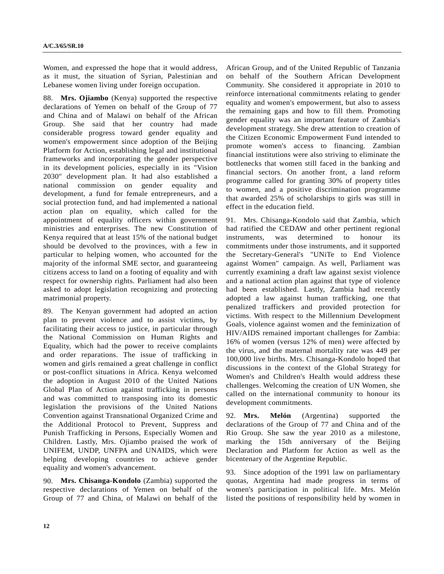Women, and expressed the hope that it would address, as it must, the situation of Syrian, Palestinian and Lebanese women living under foreign occupation.

88. **Mrs. Ojiambo** (Kenya) supported the respective declarations of Yemen on behalf of the Group of 77 and China and of Malawi on behalf of the African Group. She said that her country had made considerable progress toward gender equality and women's empowerment since adoption of the Beijing Platform for Action, establishing legal and institutional frameworks and incorporating the gender perspective in its development policies, especially in its "Vision 2030" development plan. It had also established a national commission on gender equality and development, a fund for female entrepreneurs, and a social protection fund, and had implemented a national action plan on equality, which called for the appointment of equality officers within government ministries and enterprises. The new Constitution of Kenya required that at least 15% of the national budget should be devolved to the provinces, with a few in particular to helping women, who accounted for the majority of the informal SME sector, and guaranteeing citizens access to land on a footing of equality and with respect for ownership rights. Parliament had also been asked to adopt legislation recognizing and protecting matrimonial property.

89. The Kenyan government had adopted an action plan to prevent violence and to assist victims, by facilitating their access to justice, in particular through the National Commission on Human Rights and Equality, which had the power to receive complaints and order reparations. The issue of trafficking in women and girls remained a great challenge in conflict or post-conflict situations in Africa. Kenya welcomed the adoption in August 2010 of the United Nations Global Plan of Action against trafficking in persons and was committed to transposing into its domestic legislation the provisions of the United Nations Convention against Transnational Organized Crime and the Additional Protocol to Prevent, Suppress and Punish Trafficking in Persons, Especially Women and Children. Lastly, Mrs. Ojiambo praised the work of UNIFEM, UNDP, UNFPA and UNAIDS, which were helping developing countries to achieve gender equality and women's advancement.

90. **Mrs. Chisanga-Kondolo** (Zambia) supported the respective declarations of Yemen on behalf of the Group of 77 and China, of Malawi on behalf of the

African Group, and of the United Republic of Tanzania on behalf of the Southern African Development Community. She considered it appropriate in 2010 to reinforce international commitments relating to gender equality and women's empowerment, but also to assess the remaining gaps and how to fill them. Promoting gender equality was an important feature of Zambia's development strategy. She drew attention to creation of the Citizen Economic Empowerment Fund intended to promote women's access to financing. Zambian financial institutions were also striving to eliminate the bottlenecks that women still faced in the banking and financial sectors. On another front, a land reform programme called for granting 30% of property titles to women, and a positive discrimination programme that awarded 25% of scholarships to girls was still in effect in the education field.

91. Mrs. Chisanga-Kondolo said that Zambia, which had ratified the CEDAW and other pertinent regional instruments, was determined to honour its commitments under those instruments, and it supported the Secretary-General's "UNiTe to End Violence against Women" campaign. As well, Parliament was currently examining a draft law against sexist violence and a national action plan against that type of violence had been established. Lastly, Zambia had recently adopted a law against human trafficking, one that penalized traffickers and provided protection for victims. With respect to the Millennium Development Goals, violence against women and the feminization of HIV/AIDS remained important challenges for Zambia: 16% of women (versus 12% of men) were affected by the virus, and the maternal mortality rate was 449 per 100,000 live births. Mrs. Chisanga-Kondolo hoped that discussions in the context of the Global Strategy for Women's and Children's Health would address these challenges. Welcoming the creation of UN Women, she called on the international community to honour its development commitments.

92. **Mrs. Melón** (Argentina) supported the declarations of the Group of 77 and China and of the Rio Group. She saw the year 2010 as a milestone, marking the 15th anniversary of the Beijing Declaration and Platform for Action as well as the bicentenary of the Argentine Republic.

93. Since adoption of the 1991 law on parliamentary quotas, Argentina had made progress in terms of women's participation in political life. Mrs. Melón listed the positions of responsibility held by women in